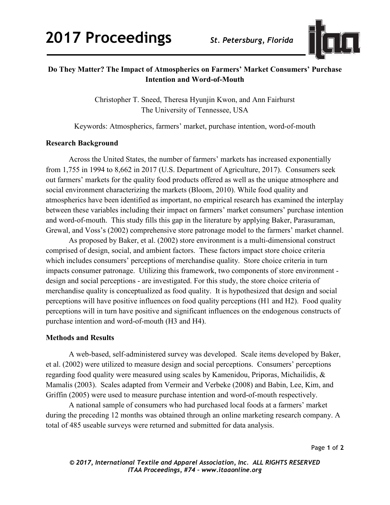

## **Do They Matter? The Impact of Atmospherics on Farmers' Market Consumers' Purchase Intention and Word-of-Mouth**

Christopher T. Sneed, Theresa Hyunjin Kwon, and Ann Fairhurst The University of Tennessee, USA

Keywords: Atmospherics, farmers' market, purchase intention, word-of-mouth

## **Research Background**

Across the United States, the number of farmers' markets has increased exponentially from 1,755 in 1994 to 8,662 in 2017 (U.S. Department of Agriculture, 2017). Consumers seek out farmers' markets for the quality food products offered as well as the unique atmosphere and social environment characterizing the markets (Bloom, 2010). While food quality and atmospherics have been identified as important, no empirical research has examined the interplay between these variables including their impact on farmers' market consumers' purchase intention and word-of-mouth. This study fills this gap in the literature by applying Baker, Parasuraman, Grewal, and Voss's (2002) comprehensive store patronage model to the farmers' market channel.

As proposed by Baker, et al. (2002) store environment is a multi-dimensional construct comprised of design, social, and ambient factors. These factors impact store choice criteria which includes consumers' perceptions of merchandise quality. Store choice criteria in turn impacts consumer patronage. Utilizing this framework, two components of store environment design and social perceptions - are investigated. For this study, the store choice criteria of merchandise quality is conceptualized as food quality. It is hypothesized that design and social perceptions will have positive influences on food quality perceptions (H1 and H2). Food quality perceptions will in turn have positive and significant influences on the endogenous constructs of purchase intention and word-of-mouth (H3 and H4).

## **Methods and Results**

A web-based, self-administered survey was developed. Scale items developed by Baker, et al. (2002) were utilized to measure design and social perceptions. Consumers' perceptions regarding food quality were measured using scales by Kamenidou, Priporas, Michailidis, & Mamalis (2003). Scales adapted from Vermeir and Verbeke (2008) and Babin, Lee, Kim, and Griffin (2005) were used to measure purchase intention and word-of-mouth respectively.

A national sample of consumers who had purchased local foods at a farmers' market during the preceding 12 months was obtained through an online marketing research company. A total of 485 useable surveys were returned and submitted for data analysis.